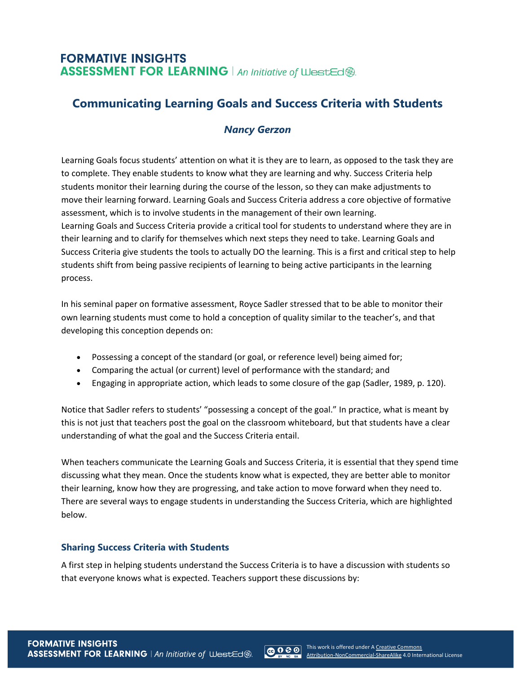## **FORMATIVE INSIGHTS ASSESSMENT FOR LEARNING** | An Initiative of WestEd<sup>®</sup>.

# **Communicating Learning Goals and Success Criteria with Students**

## *Nancy Gerzon*

their learning and to clarify for themselves which next steps they need to take. Learning Goals and Success Criteria give students the tools to actually DO the learning. This is a first and critical step to help students shift from being passive recipients of learning to being active participants in the learning process. Learning Goals focus students' attention on what it is they are to learn, as opposed to the task they are to complete. They enable students to know what they are learning and why. Success Criteria help students monitor their learning during the course of the lesson, so they can make adjustments to move their learning forward. Learning Goals and Success Criteria address a core objective of formative assessment, which is to involve students in the management of their own learning. Learning Goals and Success Criteria provide a critical tool for students to understand where they are in

In his seminal paper on formative assessment, Royce Sadler stressed that to be able to monitor their own learning students must come to hold a conception of quality similar to the teacher's, and that developing this conception depends on:

- Possessing a concept of the standard (or goal, or reference level) being aimed for;
- Comparing the actual (or current) level of performance with the standard; and
- Engaging in appropriate action, which leads to some closure of the gap (Sadler, 1989, p. 120).

Notice that Sadler refers to students' "possessing a concept of the goal." In practice, what is meant by this is not just that teachers post the goal on the classroom whiteboard, but that students have a clear understanding of what the goal and the Success Criteria entail.

When teachers communicate the Learning Goals and Success Criteria, it is essential that they spend time discussing what they mean. Once the students know what is expected, they are better able to monitor their learning, know how they are progressing, and take action to move forward when they need to. There are several ways to engage students in understanding the Success Criteria, which are highlighted below.

### **Sharing Success Criteria with Students**

A first step in helping students understand the Success Criteria is to have a discussion with students so that everyone knows what is expected. Teachers support these discussions by: